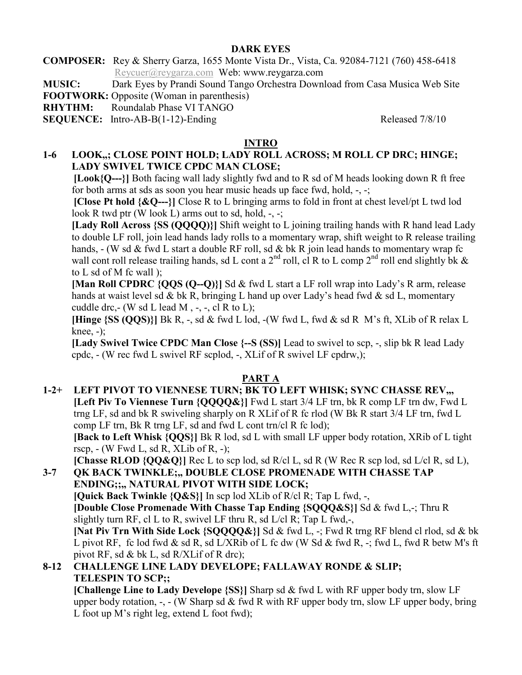#### **DARK EYES**

**COMPOSER:** Rey & Sherry Garza, 1655 Monte Vista Dr., Vista, Ca. 92084-7121 (760) 458-6418 Reycuer@reygarza.com Web: www.reygarza.com

**MUSIC:** Dark Eyes by Prandi Sound Tango Orchestra Download from Casa Musica Web Site **FOOTWORK:** Opposite (Woman in parenthesis)

**RHYTHM:** Roundalab Phase VI TANGO

**SEQUENCE:** Intro-AB-B(1-12)-Ending Released 7/8/10

# **INTRO**

### 1-6 LOOK,,; CLOSE POINT HOLD; LADY ROLL ACROSS; M ROLL CP DRC; HINGE; **LADY SWIVEL TWICE CPDC MAN CLOSE;**

**[Look{Q---}]** Both facing wall lady slightly fwd and to R sd of M heads looking down R ft free for both arms at sds as soon you hear music heads up face fwd, hold, -, -;

**[Close Pt hold {&Q---}]** Close R to L bringing arms to fold in front at chest level/pt L twd lod look R twd ptr (W look L) arms out to sd, hold,  $-$ ,  $-$ ;

**[Lady Roll Across {SS (QQQQ)}]** Shift weight to L joining trailing hands with R hand lead Lady to double LF roll, join lead hands lady rolls to a momentary wrap, shift weight to R release trailing hands,  $-$  (W sd & fwd L start a double RF roll, sd & bk R join lead hands to momentary wrap fc wall cont roll release trailing hands, sd L cont a  $2^{nd}$  roll, cl R to L comp  $2^{nd}$  roll end slightly bk & to L sd of M fc wall );

**[Man Roll CPDRC {QQS (Q--Q)}]** Sd & fwd L start a LF roll wrap into Lady's R arm, release hands at waist level sd & bk R, bringing L hand up over Lady's head fwd & sd L, momentary cuddle drc,- (W sd L lead M,  $-$ ,  $-$ , cl R to L);

**[Hinge {SS (QQS)}]** Bk R, -, sd & fwd L lod, -(W fwd L, fwd & sd R M's ft, XLib of R relax L knee,  $-$ );

**[Lady Swivel Twice CPDC Man Close {--S (SS)]** Lead to swivel to scp, -, slip bk R lead Lady cpdc, - (W rec fwd L swivel RF scplod, -, XLif of R swivel LF cpdrw,);

# **PART A**

1-2+ LEFT PIVOT TO VIENNESE TURN; BK TO LEFT WHISK; SYNC CHASSE REV... **[Left Piv To Viennese Turn {QQQQ&}]** Fwd L start 3/4 LF trn, bk R comp LF trn dw, Fwd L trng LF, sd and bk R swiveling sharply on R XLif of R fc rlod (W Bk R start 3/4 LF trn, fwd L comp LF trn, Bk R trng LF, sd and fwd L cont trn/cl R fc lod);

**[Back to Left Whisk {QQS}]** Bk R lod, sd L with small LF upper body rotation, XRib of L tight rscp,  $-$  (W Fwd L, sd R, XLib of R,  $-$ );

**[Chasse RLOD {QQ&Q}]** Rec L to scp lod, sd R/cl L, sd R (W Rec R scp lod, sd L/cl R, sd L),

**3-7 QK BACK TWIKLE;,, DOUBLE CLOSE PROMEADE WITH CHASSE TAP EDIG;;,, ATURAL PIVOT WITH SIDE LOCK; [Quick Back Twinkle {Q&S}]** In scp lod XLib of R/cl R; Tap L fwd, -, **[Double Close Promenade With Chasse Tap Ending {SQQQ&S}]** Sd & fwd L,-; Thru R slightly turn RF, cl L to R, swivel LF thru R, sd L/cl R; Tap L fwd,-, **[Nat Piv Trn With Side Lock {SQQQQ&}]** Sd & fwd L, -; Fwd R trng RF blend cl rlod, sd & bk L pivot RF, fc lod fwd & sd R, sd L/XRib of L fc dw (W Sd & fwd R, -; fwd L, fwd R betw M's ft pivot RF, sd & bk L, sd R/XLif of R drc);

8-12 CHALLENGE LINE LADY DEVELOPE; FALLAWAY RONDE & SLIP; **TELESPIN TO SCP;;** 

**[Challenge Line to Lady Develope {SS}]** Sharp sd & fwd L with RF upper body trn, slow LF upper body rotation,  $-$ ,  $-$  (W Sharp sd & fwd R with RF upper body trn, slow LF upper body, bring L foot up M's right leg, extend L foot fwd);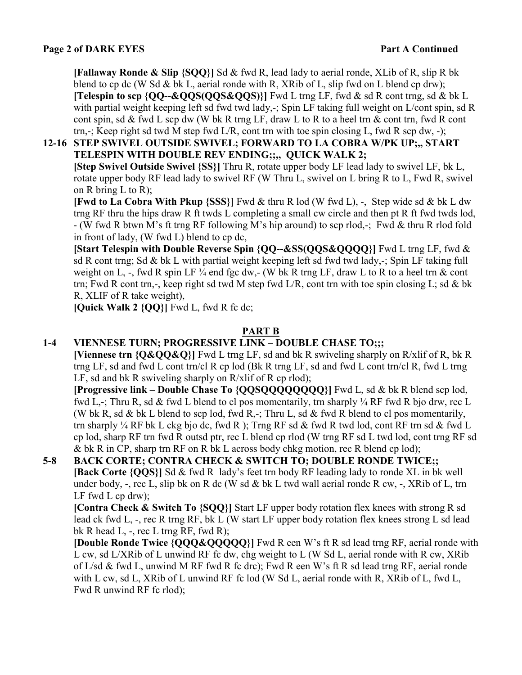**[Fallaway Ronde & Slip {SQQ}]** Sd & fwd R, lead lady to aerial ronde, XLib of R, slip R bk blend to cp dc (W Sd & bk L, aerial ronde with R, XRib of L, slip fwd on L blend cp drw); **[Telespin to scp**  $\{OO-&OOS(OOS&OOS)\}$ **]** Fwd L trng LF, fwd  $\&$  sd R cont trng, sd  $\&$  bk L with partial weight keeping left sd fwd twd lady,-; Spin LF taking full weight on L/cont spin, sd R cont spin, sd & fwd L scp dw (W bk R trng LF, draw L to R to a heel trn & cont trn, fwd R cont trn,-; Keep right sd twd M step fwd  $L/R$ , cont trn with toe spin closing L, fwd R scp dw, -);

### **12-16 STEP SWIVEL OUTSIDE SWIVEL; FORWARD TO LA COBRA W/PK UP;,, START TELESPIN WITH DOUBLE REV ENDING;;,, QUICK WALK 2;**

**[Step Swivel Outside Swivel {SS}]** Thru R, rotate upper body LF lead lady to swivel LF, bk L, rotate upper body RF lead lady to swivel RF (W Thru L, swivel on L bring R to L, Fwd R, swivel on R bring L to R);

**[Fwd to La Cobra With Pkup {SSS}]** Fwd & thru R lod (W fwd L), -, Step wide sd & bk L dw trng RF thru the hips draw R ft twds L completing a small cw circle and then pt R ft fwd twds lod, - (W fwd R btwn M's ft trng RF following M's hip around) to scp rlod,-; Fwd & thru R rlod fold in front of lady, (W fwd L) blend to cp dc,

**[Start Telespin with Double Reverse Spin {QQ--&SS(QQS&QQQQ}]** Fwd L trng LF, fwd & sd R cont trng; Sd & bk L with partial weight keeping left sd fwd twd lady,-; Spin LF taking full weight on L, -, fwd R spin LF  $\frac{3}{4}$  end fgc dw,- (W bk R trng LF, draw L to R to a heel trn & cont trn; Fwd R cont trn,-, keep right sd twd M step fwd L/R, cont trn with toe spin closing L; sd & bk R, XLIF of R take weight),

**[Quick Walk 2 {QQ}]** Fwd L, fwd R fc dc;

### **PART B**

## 1-4 VIENNESE TURN: PROGRESSIVE LINK – DOUBLE CHASE TO:::

**[Viennese trn {Q&QQ&Q}]** Fwd L trng LF, sd and bk R swiveling sharply on R/xlif of R, bk R trng LF, sd and fwd L cont trn/cl R cp lod (Bk R trng LF, sd and fwd L cont trn/cl R, fwd L trng LF, sd and bk R swiveling sharply on  $R/x$ lif of R cp rlod);

**[Progressive link – Double Chase To {QQSQQQQQQQQ}]** Fwd L, sd & bk R blend scp lod, fwd L,-; Thru R, sd & fwd L blend to cl pos momentarily, trn sharply  $\frac{1}{4}$  RF fwd R bjo drw, rec L (W bk R, sd & bk L blend to scp lod, fwd R,-; Thru L, sd & fwd R blend to cl pos momentarily, trn sharply ¼ RF bk L ckg bjo dc, fwd R ); Trng RF sd & fwd R twd lod, cont RF trn sd & fwd L cp lod, sharp RF trn fwd R outsd ptr, rec L blend cp rlod (W trng RF sd L twd lod, cont trng RF sd & bk R in CP, sharp trn RF on R bk L across body chkg motion, rec R blend cp lod);

#### **5-8 BACK CORTE; COTRA CHECK & SWITCH TO; DOUBLE RODE TWICE;; [Back Corte {QQS}]** Sd & fwd R lady's feet trn body RF leading lady to ronde XL in bk well

under body,  $-$ , rec L, slip bk on R dc (W sd & bk L twd wall aerial ronde R cw,  $-$ , XRib of L, trn LF fwd L  $\text{cp}$  drw):

**[Contra Check & Switch To {SQQ}]** Start LF upper body rotation flex knees with strong R sd lead ck fwd L, -, rec R trng RF, bk L (W start LF upper body rotation flex knees strong L sd lead bk R head L,  $-$ , rec L trng RF, fwd R);

**[Double Ronde Twice {QQQ&QQQQQ}]** Fwd R een W's ft R sd lead trng RF, aerial ronde with L cw, sd L/XRib of L unwind RF fc dw, chg weight to L (W Sd L, aerial ronde with R cw, XRib of L/sd & fwd L, unwind M RF fwd R fc drc); Fwd R een W's ft R sd lead trng RF, aerial ronde with L cw, sd L, XRib of L unwind RF fc lod (W Sd L, aerial ronde with R, XRib of L, fwd L, Fwd R unwind RF fc rlod);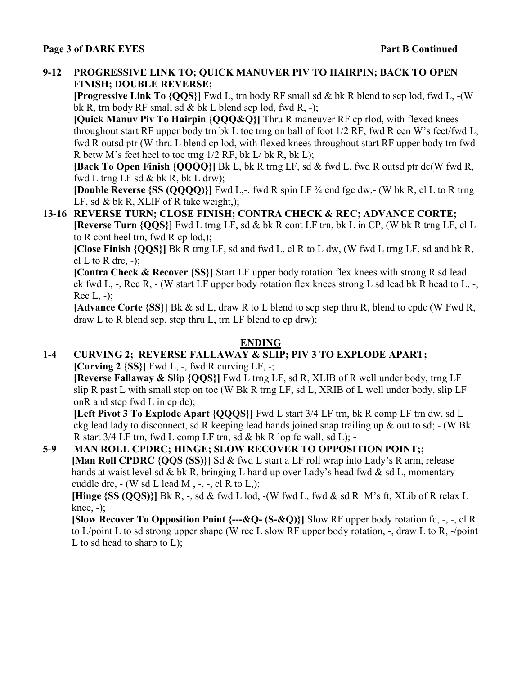### 9-12 PROGRESSIVE LINK TO; QUICK MANUVER PIV TO HAIRPIN; BACK TO OPEN **FINISH; DOUBLE REVERSE;**

**[Progressive Link To {QQS}]** Fwd L, trn body RF small sd & bk R blend to scp lod, fwd L, -(W bk R, trn body RF small sd  $&$  bk L blend scp lod, fwd R, -);

**[Quick Manuv Piv To Hairpin {QQQ&Q}]** Thru R maneuver RF cp rlod, with flexed knees throughout start RF upper body trn bk L toe trng on ball of foot 1/2 RF, fwd R een W's feet/fwd L, fwd R outsd ptr (W thru L blend cp lod, with flexed knees throughout start RF upper body trn fwd R betw M's feet heel to toe trng 1/2 RF, bk L/ bk R, bk L);

**[Back To Open Finish {QQQQ}]** Bk L, bk R trng LF, sd & fwd L, fwd R outsd ptr dc(W fwd R, fwd L trng LF sd & bk R, bk L drw);

**[Double Reverse {SS (QQQQ)}]** Fwd L,-. fwd R spin LF ¾ end fgc dw,- (W bk R, cl L to R trng LF, sd & bk R, XLIF of R take weight,);

13-16 REVERSE TURN; CLOSE FINISH; CONTRA CHECK & REC; ADVANCE CORTE; **[Reverse Turn {QQS}]** Fwd L trng LF, sd & bk R cont LF trn, bk L in CP, (W bk R trng LF, cl L to R cont heel trn, fwd R cp lod,);

**[Close Finish {QQS}]** Bk R trng LF, sd and fwd L, cl R to L dw, (W fwd L trng LF, sd and bk R, cl L to R drc,  $-$ );

**[Contra Check & Recover {SS}]** Start LF upper body rotation flex knees with strong R sd lead ck fwd L, -, Rec R, - (W start LF upper body rotation flex knees strong L sd lead bk R head to L, -, Rec  $L$ ,  $-$ );

**[Advance Corte {SS}]** Bk & sd L, draw R to L blend to scp step thru R, blend to cpdc (W Fwd R, draw L to R blend scp, step thru L, trn LF blend to cp drw);

### **EDIG**

**1-4 CURVIG 2; REVERSE FALLAWAY & SLIP; PIV 3 TO EXPLODE APART; [Curving 2 {SS}]** Fwd L, -, fwd R curving LF, -;

**[Reverse Fallaway & Slip {QQS}]** Fwd L trng LF, sd R, XLIB of R well under body, trng LF slip R past L with small step on toe (W Bk R trng LF, sd L, XRIB of L well under body, slip LF onR and step fwd L in cp dc);

**[Left Pivot 3 To Explode Apart {QQQS}]** Fwd L start 3/4 LF trn, bk R comp LF trn dw, sd L ckg lead lady to disconnect, sd R keeping lead hands joined snap trailing up & out to sd; - (W Bk R start  $3/4$  LF trn, fwd L comp LF trn, sd & bk R lop fc wall, sd L); -

# **5-9 • MAN ROLL CPDRC; HINGE; SLOW RECOVER TO OPPOSITION POINT;;**

**[Man Roll CPDRC {QQS (SS)}]** Sd & fwd L start a LF roll wrap into Lady's R arm, release hands at waist level sd & bk R, bringing L hand up over Lady's head fwd & sd L, momentary cuddle drc,  $-$  (W sd L lead M,  $-$ ,  $-$ , cl R to L,);

**[Hinge {SS (QQS)}]** Bk R, -, sd & fwd L lod, -(W fwd L, fwd & sd R M's ft, XLib of R relax L knee, -);

**[Slow Recover To Opposition Point {---&Q- (S-&Q)}]** Slow RF upper body rotation fc, -, -, cl R to L/point L to sd strong upper shape (W rec L slow RF upper body rotation, -, draw L to R, -/point L to sd head to sharp to  $L$ );